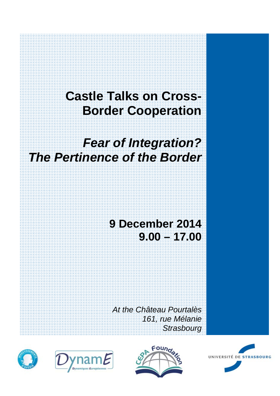# **Castle Talks on Cross-Border Cooperation**

# *Fear of Integration? The Pertinence of the Border*

# **9 December 2014 9.00 – 17.00**

*At the Château Pourtalès 161, rue Mélanie Strasbourg* 







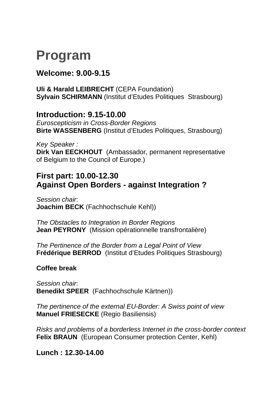# **Program**

### **Welcome: 9.00-9.15**

**Uli & Harald LEIBRECHT** (CEPA Foundation) **Sylvain SCHIRMANN** (Institut d'Etudes Politiques Strasbourg)

#### **Introduction: 9.15-10.00**

*Euroscepticism in Cross-Border Regions* **Birte WASSENBERG** (Institut d'Etudes Politiques, Strasbourg)

*Key Speaker :*  **Dirk Van EECKHOUT** (Ambassador, permanent representative of Belgium to the Council of Europe.)

### **First part: 10.00-12.30 Against Open Borders - against Integration ?**

*Session chair*: **Joachim BECK** (Fachhochschule Kehl))

*The Obstacles to Integration in Border Regions*  **Jean PEYRONY** (Mission opérationnelle transfrontalière)

*The Pertinence of the Border from a Legal Point of View*  **Frédérique BERROD** (Institut d'Etudes Politiques Strasbourg)

#### **Coffee break**

*Session chair*: **Benedikt SPEER** (Fachhochschule Kärtnen))

*The pertinence of the external EU-Border: A Swiss point of view*  **Manuel FRIESECKE** (Regio Basiliensis)

*Risks and problems of a borderless Internet in the cross-border context*  **Felix BRAUN** (European Consumer protection Center, Kehl)

**Lunch : 12.30-14.00**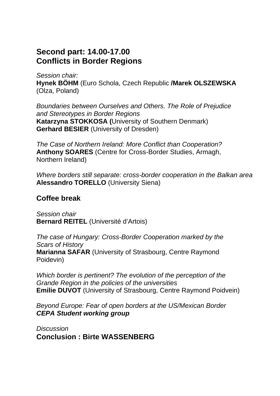### **Second part: 14.00-17.00 Conflicts in Border Regions**

*Session chair:* **Hynek BÖHM** (Euro Schola, Czech Republic **/Marek OLSZEWSKA**  (Olza, Poland)

*Boundaries between Ourselves and Others. The Role of Prejudice and Stereotypes in Border Regions*  **Katarzyna STOKKOSA (**University of Southern Denmark) **Gerhard BESIER** (University of Dresden)

*The Case of Northern Ireland: More Conflict than Cooperation?*  **Anthony SOARES** (Centre for Cross-Border Studies, Armagh, Northern Ireland)

*Where borders still separate: cross-border cooperation in the Balkan area*  **Alessandro TORELLO** (University Siena)

#### **Coffee break**

*Session chair*  **Bernard REITEL** (Université d'Artois)

*The case of Hungary: Cross-Border Cooperation marked by the Scars of History*  **Marianna SAFAR** (University of Strasbourg, Centre Raymond Poidevin)

*Which border is pertinent? The evolution of the perception of the Grande Region in the policies of the universities*  **Emilie DUVOT** (University of Strasbourg, Centre Raymond Poidvein)

*Beyond Europe: Fear of open borders at the US/Mexican Border CEPA Student working group* 

*Discussion* **Conclusion : Birte WASSENBERG**